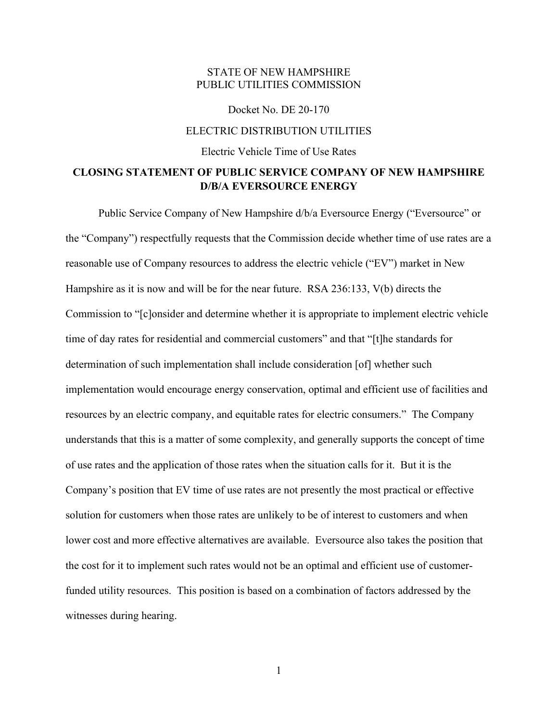## STATE OF NEW HAMPSHIRE PUBLIC UTILITIES COMMISSION

## Docket No. DE 20-170 ELECTRIC DISTRIBUTION UTILITIES Electric Vehicle Time of Use Rates

## **CLOSING STATEMENT OF PUBLIC SERVICE COMPANY OF NEW HAMPSHIRE D/B/A EVERSOURCE ENERGY**

Public Service Company of New Hampshire d/b/a Eversource Energy ("Eversource" or the "Company") respectfully requests that the Commission decide whether time of use rates are a reasonable use of Company resources to address the electric vehicle ("EV") market in New Hampshire as it is now and will be for the near future. RSA 236:133, V(b) directs the Commission to "[c]onsider and determine whether it is appropriate to implement electric vehicle time of day rates for residential and commercial customers" and that "[t]he standards for determination of such implementation shall include consideration [of] whether such implementation would encourage energy conservation, optimal and efficient use of facilities and resources by an electric company, and equitable rates for electric consumers." The Company understands that this is a matter of some complexity, and generally supports the concept of time of use rates and the application of those rates when the situation calls for it. But it is the Company's position that EV time of use rates are not presently the most practical or effective solution for customers when those rates are unlikely to be of interest to customers and when lower cost and more effective alternatives are available. Eversource also takes the position that the cost for it to implement such rates would not be an optimal and efficient use of customerfunded utility resources. This position is based on a combination of factors addressed by the witnesses during hearing.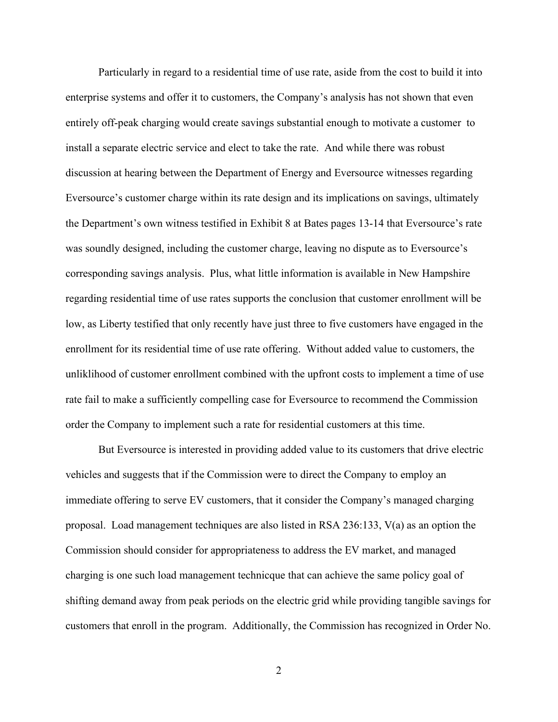Particularly in regard to a residential time of use rate, aside from the cost to build it into enterprise systems and offer it to customers, the Company's analysis has not shown that even entirely off-peak charging would create savings substantial enough to motivate a customer to install a separate electric service and elect to take the rate. And while there was robust discussion at hearing between the Department of Energy and Eversource witnesses regarding Eversource's customer charge within its rate design and its implications on savings, ultimately the Department's own witness testified in Exhibit 8 at Bates pages 13-14 that Eversource's rate was soundly designed, including the customer charge, leaving no dispute as to Eversource's corresponding savings analysis. Plus, what little information is available in New Hampshire regarding residential time of use rates supports the conclusion that customer enrollment will be low, as Liberty testified that only recently have just three to five customers have engaged in the enrollment for its residential time of use rate offering. Without added value to customers, the unliklihood of customer enrollment combined with the upfront costs to implement a time of use rate fail to make a sufficiently compelling case for Eversource to recommend the Commission order the Company to implement such a rate for residential customers at this time.

But Eversource is interested in providing added value to its customers that drive electric vehicles and suggests that if the Commission were to direct the Company to employ an immediate offering to serve EV customers, that it consider the Company's managed charging proposal. Load management techniques are also listed in RSA 236:133, V(a) as an option the Commission should consider for appropriateness to address the EV market, and managed charging is one such load management technicque that can achieve the same policy goal of shifting demand away from peak periods on the electric grid while providing tangible savings for customers that enroll in the program. Additionally, the Commission has recognized in Order No.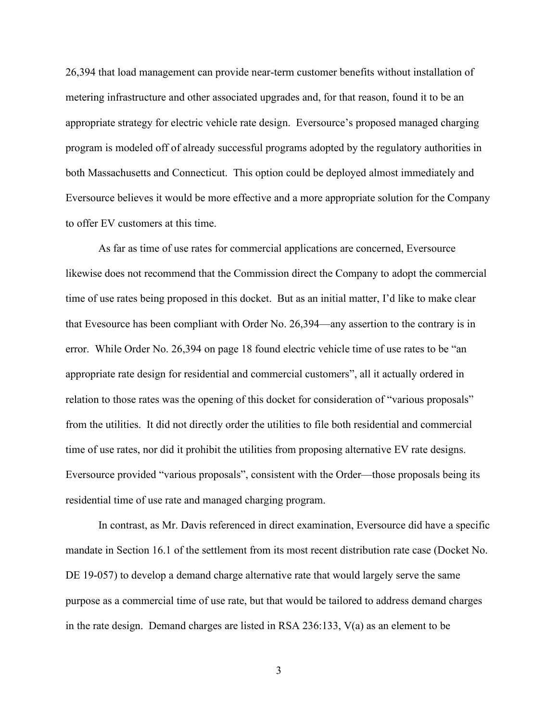26,394 that load management can provide near-term customer benefits without installation of metering infrastructure and other associated upgrades and, for that reason, found it to be an appropriate strategy for electric vehicle rate design. Eversource's proposed managed charging program is modeled off of already successful programs adopted by the regulatory authorities in both Massachusetts and Connecticut. This option could be deployed almost immediately and Eversource believes it would be more effective and a more appropriate solution for the Company to offer EV customers at this time.

As far as time of use rates for commercial applications are concerned, Eversource likewise does not recommend that the Commission direct the Company to adopt the commercial time of use rates being proposed in this docket. But as an initial matter, I'd like to make clear that Evesource has been compliant with Order No. 26,394—any assertion to the contrary is in error. While Order No. 26,394 on page 18 found electric vehicle time of use rates to be "an appropriate rate design for residential and commercial customers", all it actually ordered in relation to those rates was the opening of this docket for consideration of "various proposals" from the utilities. It did not directly order the utilities to file both residential and commercial time of use rates, nor did it prohibit the utilities from proposing alternative EV rate designs. Eversource provided "various proposals", consistent with the Order—those proposals being its residential time of use rate and managed charging program.

In contrast, as Mr. Davis referenced in direct examination, Eversource did have a specific mandate in Section 16.1 of the settlement from its most recent distribution rate case (Docket No. DE 19-057) to develop a demand charge alternative rate that would largely serve the same purpose as a commercial time of use rate, but that would be tailored to address demand charges in the rate design. Demand charges are listed in RSA 236:133, V(a) as an element to be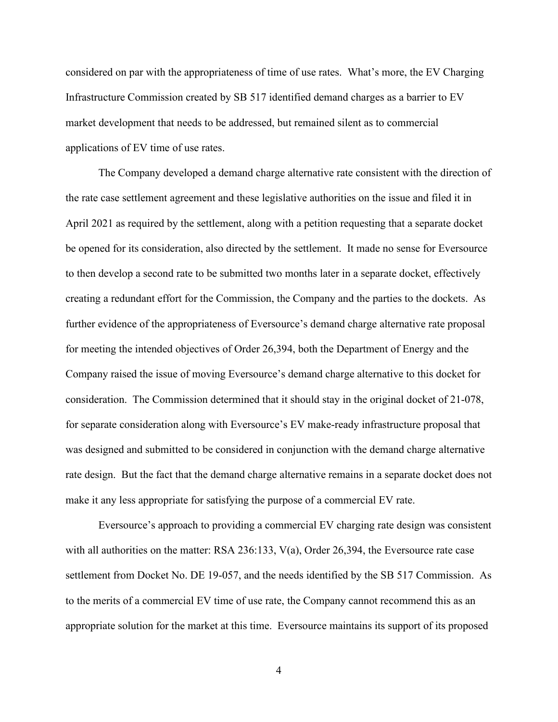considered on par with the appropriateness of time of use rates. What's more, the EV Charging Infrastructure Commission created by SB 517 identified demand charges as a barrier to EV market development that needs to be addressed, but remained silent as to commercial applications of EV time of use rates.

The Company developed a demand charge alternative rate consistent with the direction of the rate case settlement agreement and these legislative authorities on the issue and filed it in April 2021 as required by the settlement, along with a petition requesting that a separate docket be opened for its consideration, also directed by the settlement. It made no sense for Eversource to then develop a second rate to be submitted two months later in a separate docket, effectively creating a redundant effort for the Commission, the Company and the parties to the dockets. As further evidence of the appropriateness of Eversource's demand charge alternative rate proposal for meeting the intended objectives of Order 26,394, both the Department of Energy and the Company raised the issue of moving Eversource's demand charge alternative to this docket for consideration. The Commission determined that it should stay in the original docket of 21-078, for separate consideration along with Eversource's EV make-ready infrastructure proposal that was designed and submitted to be considered in conjunction with the demand charge alternative rate design. But the fact that the demand charge alternative remains in a separate docket does not make it any less appropriate for satisfying the purpose of a commercial EV rate.

Eversource's approach to providing a commercial EV charging rate design was consistent with all authorities on the matter: RSA 236:133, V(a), Order 26,394, the Eversource rate case settlement from Docket No. DE 19-057, and the needs identified by the SB 517 Commission. As to the merits of a commercial EV time of use rate, the Company cannot recommend this as an appropriate solution for the market at this time. Eversource maintains its support of its proposed